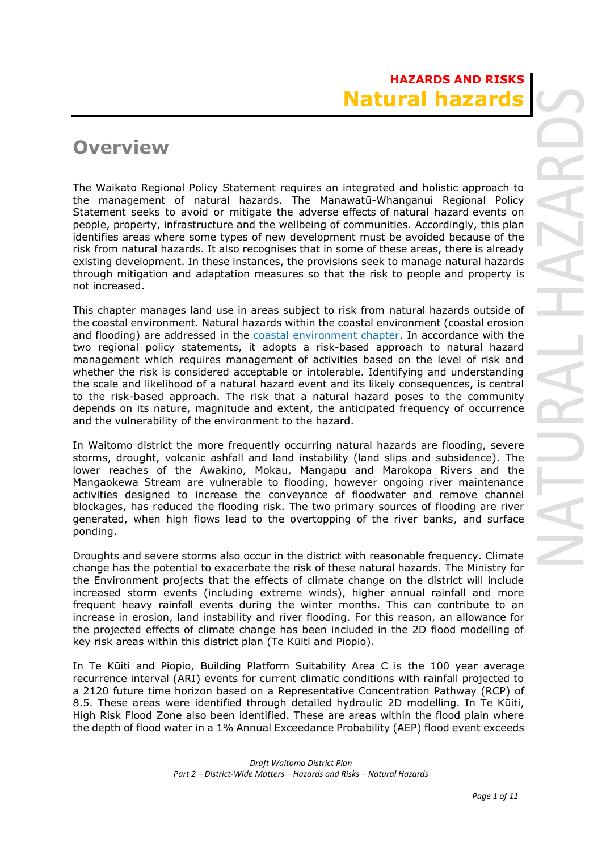# **Overview**

The Waikato Regional Policy Statement requires an integrated and holistic approach to the management of natural hazards. The Manawatū-Whanganui Regional Policy Statement seeks to avoid or mitigate the adverse effects of natural hazard events on people, property, infrastructure and the wellbeing of communities. Accordingly, this plan identifies areas where some types of new development must be avoided because of the risk from natural hazards. It also recognises that in some of these areas, there is already existing development. In these instances, the provisions seek to manage natural hazards through mitigation and adaptation measures so that the risk to people and property is not increased.

This chapter manages land use in areas subject to risk from natural hazards outside of the coastal environment. Natural hazards within the coastal environment (coastal erosion and flooding) are addressed in the coastal environment chapter. In accordance with the two regional policy statements, it adopts a risk-based approach to natural hazard management which requires management of activities based on the level of risk and whether the risk is considered acceptable or intolerable. Identifying and understanding the scale and likelihood of a natural hazard event and its likely consequences, is central to the risk-based approach. The risk that a natural hazard poses to the community depends on its nature, magnitude and extent, the anticipated frequency of occurrence and the vulnerability of the environment to the hazard.

In Waitomo district the more frequently occurring natural hazards are flooding, severe storms, drought, volcanic ashfall and land instability (land slips and subsidence). The lower reaches of the Awakino, Mokau, Mangapu and Marokopa Rivers and the Mangaokewa Stream are vulnerable to flooding, however ongoing river maintenance activities designed to increase the conveyance of floodwater and remove channel blockages, has reduced the flooding risk. The two primary sources of flooding are river generated, when high flows lead to the overtopping of the river banks, and surface ponding.

Droughts and severe storms also occur in the district with reasonable frequency. Climate change has the potential to exacerbate the risk of these natural hazards. The Ministry for the Environment projects that the effects of climate change on the district will include increased storm events (including extreme winds), higher annual rainfall and more frequent heavy rainfall events during the winter months. This can contribute to an increase in erosion, land instability and river flooding. For this reason, an allowance for the projected effects of climate change has been included in the 2D flood modelling of key risk areas within this district plan (Te Kūiti and Piopio).

In Te Kūiti and Piopio, Building Platform Suitability Area C is the 100 year average recurrence interval (ARI) events for current climatic conditions with rainfall projected to a 2120 future time horizon based on a Representative Concentration Pathway (RCP) of 8.5. These areas were identified through detailed hydraulic 2D modelling. In Te Kūiti, High Risk Flood Zone also been identified. These are areas within the flood plain where the depth of flood water in a 1% Annual Exceedance Probability (AEP) flood event exceeds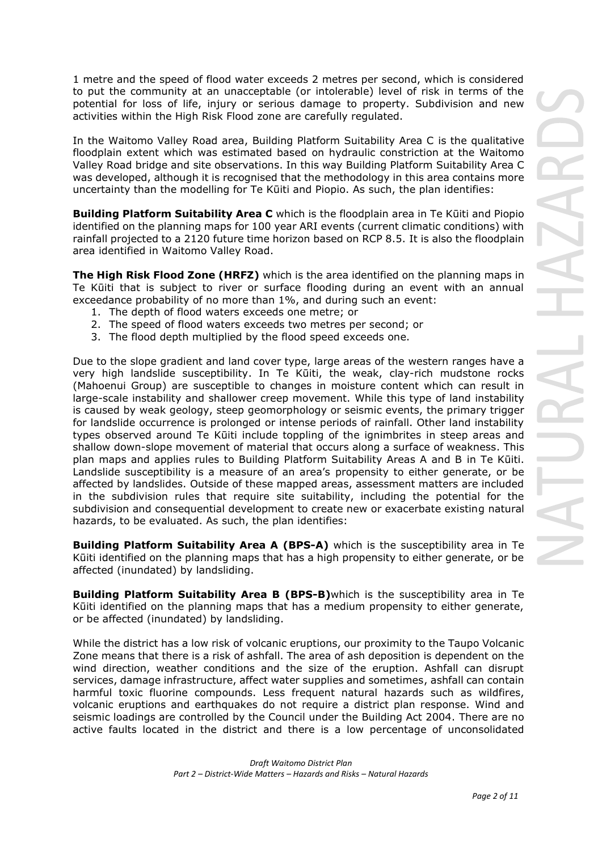1 metre and the speed of flood water exceeds 2 metres per second, which is considered to put the community at an unacceptable (or intolerable) level of risk in terms of the potential for loss of life, injury or serious damage to property. Subdivision and new activities within the High Risk Flood zone are carefully regulated.

In the Waitomo Valley Road area, Building Platform Suitability Area C is the qualitative floodplain extent which was estimated based on hydraulic constriction at the Waitomo Valley Road bridge and site observations. In this way Building Platform Suitability Area C was developed, although it is recognised that the methodology in this area contains more uncertainty than the modelling for Te Kūiti and Piopio. As such, the plan identifies:

**Building Platform Suitability Area C** which is the floodplain area in Te Kūiti and Piopio identified on the planning maps for 100 year ARI events (current climatic conditions) with rainfall projected to a 2120 future time horizon based on RCP 8.5. It is also the floodplain area identified in Waitomo Valley Road.

**The High Risk Flood Zone (HRFZ)** which is the area identified on the planning maps in Te Kūiti that is subject to river or surface flooding during an event with an annual exceedance probability of no more than 1%, and during such an event:

- 1. The depth of flood waters exceeds one metre; or
- 2. The speed of flood waters exceeds two metres per second; or
- 3. The flood depth multiplied by the flood speed exceeds one.

Due to the slope gradient and land cover type, large areas of the western ranges have a very high landslide susceptibility. In Te Kūiti, the weak, clay-rich mudstone rocks (Mahoenui Group) are susceptible to changes in moisture content which can result in large-scale instability and shallower creep movement. While this type of land instability is caused by weak geology, steep geomorphology or seismic events, the primary trigger for landslide occurrence is prolonged or intense periods of rainfall. Other land instability types observed around Te Kūiti include toppling of the ignimbrites in steep areas and shallow down-slope movement of material that occurs along a surface of weakness. This plan maps and applies rules to Building Platform Suitability Areas A and B in Te Kūiti. Landslide susceptibility is a measure of an area's propensity to either generate, or be affected by landslides. Outside of these mapped areas, assessment matters are included in the subdivision rules that require site suitability, including the potential for the subdivision and consequential development to create new or exacerbate existing natural hazards, to be evaluated. As such, the plan identifies:

**Building Platform Suitability Area A (BPS-A)** which is the susceptibility area in Te Kūiti identified on the planning maps that has a high propensity to either generate, or be affected (inundated) by landsliding.

**Building Platform Suitability Area B (BPS-B)**which is the susceptibility area in Te Kūiti identified on the planning maps that has a medium propensity to either generate, or be affected (inundated) by landsliding.

While the district has a low risk of volcanic eruptions, our proximity to the Taupo Volcanic Zone means that there is a risk of ashfall. The area of ash deposition is dependent on the wind direction, weather conditions and the size of the eruption. Ashfall can disrupt services, damage infrastructure, affect water supplies and sometimes, ashfall can contain harmful toxic fluorine compounds. Less frequent natural hazards such as wildfires, volcanic eruptions and earthquakes do not require a district plan response. Wind and seismic loadings are controlled by the Council under the Building Act 2004. There are no active faults located in the district and there is a low percentage of unconsolidated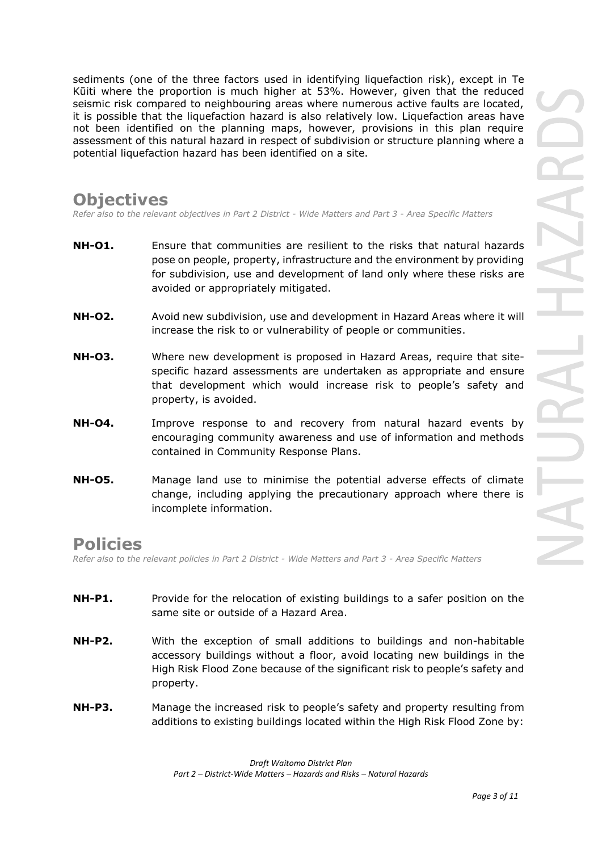sediments (one of the three factors used in identifying liquefaction risk), except in Te Kūiti where the proportion is much higher at 53%. However, given that the reduced seismic risk compared to neighbouring areas where numerous active faults are located, it is possible that the liquefaction hazard is also relatively low. Liquefaction areas have not been identified on the planning maps, however, provisions in this plan require assessment of this natural hazard in respect of subdivision or structure planning where a potential liquefaction hazard has been identified on a site.

# **Objectives**

*Refer also to the relevant objectives in Part 2 District - Wide Matters and Part 3 - Area Specific Matters*

- **NH-O1.** Ensure that communities are resilient to the risks that natural hazards pose on people, property, infrastructure and the environment by providing for subdivision, use and development of land only where these risks are avoided or appropriately mitigated.
- **NH-O2.** Avoid new subdivision, use and development in Hazard Areas where it will increase the risk to or vulnerability of people or communities.
- **NH-O3.** Where new development is proposed in Hazard Areas, require that sitespecific hazard assessments are undertaken as appropriate and ensure that development which would increase risk to people's safety and property, is avoided.
- **NH-O4.** Improve response to and recovery from natural hazard events by encouraging community awareness and use of information and methods contained in Community Response Plans.
- **NH-O5.** Manage land use to minimise the potential adverse effects of climate change, including applying the precautionary approach where there is incomplete information.

# **Policies**

*Refer also to the relevant policies in Part 2 District - Wide Matters and Part 3 - Area Specific Matters*

- **NH-P1.** Provide for the relocation of existing buildings to a safer position on the same site or outside of a Hazard Area.
- **NH-P2.** With the exception of small additions to buildings and non-habitable accessory buildings without a floor, avoid locating new buildings in the High Risk Flood Zone because of the significant risk to people's safety and property.
- **NH-P3.** Manage the increased risk to people's safety and property resulting from additions to existing buildings located within the High Risk Flood Zone by: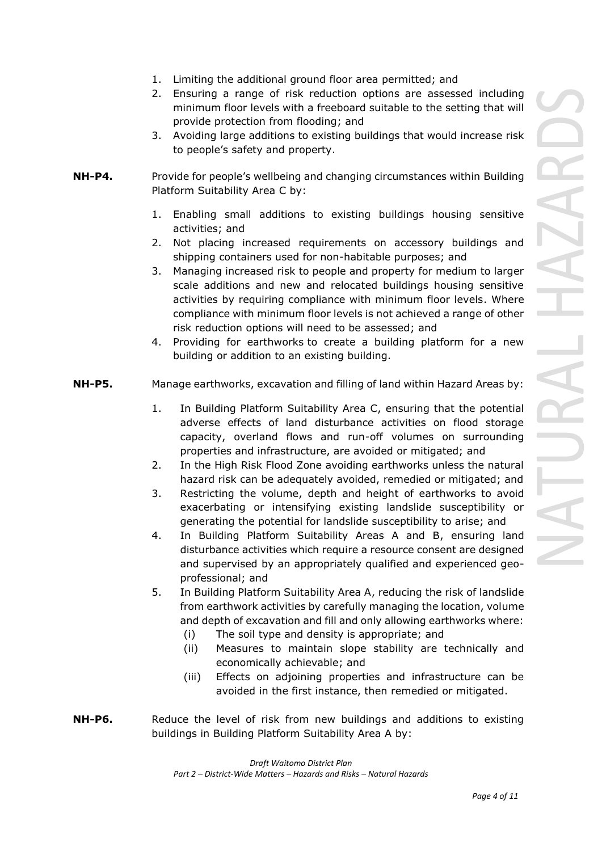- 1. Limiting the additional ground floor area permitted; and
- 2. Ensuring a range of risk reduction options are assessed including minimum floor levels with a freeboard suitable to the setting that will provide protection from flooding; and
- 3. Avoiding large additions to existing buildings that would increase risk to people's safety and property.
- **NH-P4.** Provide for people's wellbeing and changing circumstances within Building Platform Suitability Area C by:
	- 1. Enabling small additions to existing buildings housing sensitive activities; and
	- 2. Not placing increased requirements on accessory buildings and shipping containers used for non-habitable purposes; and
	- 3. Managing increased risk to people and property for medium to larger scale additions and new and relocated buildings housing sensitive activities by requiring compliance with minimum floor levels. Where compliance with minimum floor levels is not achieved a range of other risk reduction options will need to be assessed; and
	- 4. Providing for earthworks to create a building platform for a new building or addition to an existing building.
- **NH-P5.** Manage earthworks, excavation and filling of land within Hazard Areas by:
	- 1. In Building Platform Suitability Area C, ensuring that the potential adverse effects of land disturbance activities on flood storage capacity, overland flows and run-off volumes on surrounding properties and infrastructure, are avoided or mitigated; and
	- 2. In the High Risk Flood Zone avoiding earthworks unless the natural hazard risk can be adequately avoided, remedied or mitigated; and
	- 3. Restricting the volume, depth and height of earthworks to avoid exacerbating or intensifying existing landslide susceptibility or generating the potential for landslide susceptibility to arise; and
	- 4. In Building Platform Suitability Areas A and B, ensuring land disturbance activities which require a resource consent are designed and supervised by an appropriately qualified and experienced geoprofessional; and
	- 5. In Building Platform Suitability Area A, reducing the risk of landslide from earthwork activities by carefully managing the location, volume and depth of excavation and fill and only allowing earthworks where:
		- (i) The soil type and density is appropriate; and
		- (ii) Measures to maintain slope stability are technically and economically achievable; and
		- (iii) Effects on adjoining properties and infrastructure can be avoided in the first instance, then remedied or mitigated.
- **NH-P6.** Reduce the level of risk from new buildings and additions to existing buildings in Building Platform Suitability Area A by: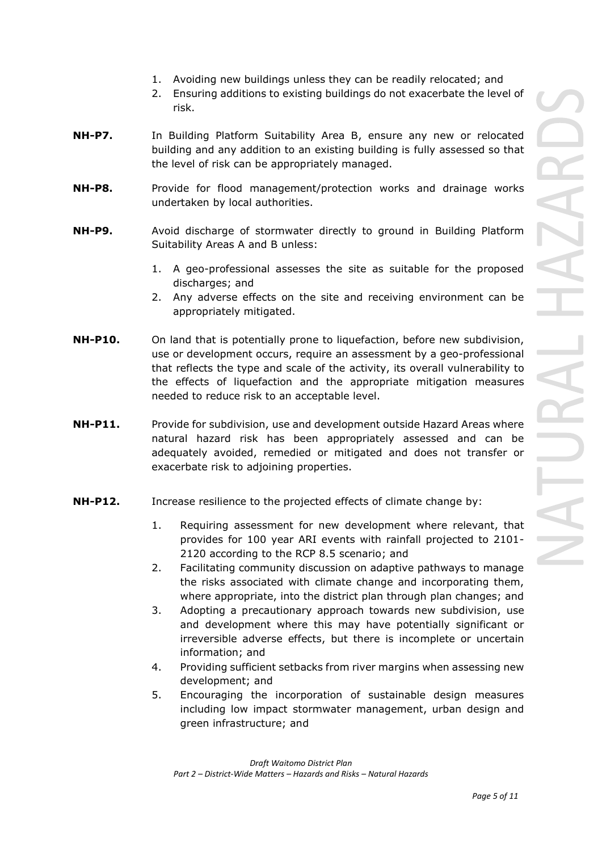- 1. Avoiding new buildings unless they can be readily relocated; and
- 2. Ensuring additions to existing buildings do not exacerbate the level of risk.
- **NH-P7.** In Building Platform Suitability Area B, ensure any new or relocated building and any addition to an existing building is fully assessed so that the level of risk can be appropriately managed.
- **NH-P8.** Provide for flood management/protection works and drainage works undertaken by local authorities.
- **NH-P9.** Avoid discharge of stormwater directly to ground in Building Platform Suitability Areas A and B unless:
	- 1. A geo-professional assesses the site as suitable for the proposed discharges; and
	- 2. Any adverse effects on the site and receiving environment can be appropriately mitigated.
- **NH-P10.** On land that is potentially prone to liquefaction, before new subdivision, use or development occurs, require an assessment by a geo-professional that reflects the type and scale of the activity, its overall vulnerability to the effects of liquefaction and the appropriate mitigation measures needed to reduce risk to an acceptable level.
- **NH-P11.** Provide for subdivision, use and development outside Hazard Areas where natural hazard risk has been appropriately assessed and can be adequately avoided, remedied or mitigated and does not transfer or exacerbate risk to adjoining properties.
- **NH-P12.** Increase resilience to the projected effects of climate change by:
	- 1. Requiring assessment for new development where relevant, that provides for 100 year ARI events with rainfall projected to 2101- 2120 according to the RCP 8.5 scenario; and
	- 2. Facilitating community discussion on adaptive pathways to manage the risks associated with climate change and incorporating them, where appropriate, into the district plan through plan changes; and
	- 3. Adopting a precautionary approach towards new subdivision, use and development where this may have potentially significant or irreversible adverse effects, but there is incomplete or uncertain information; and
	- 4. Providing sufficient setbacks from river margins when assessing new development; and
	- 5. Encouraging the incorporation of sustainable design measures including low impact stormwater management, urban design and green infrastructure; and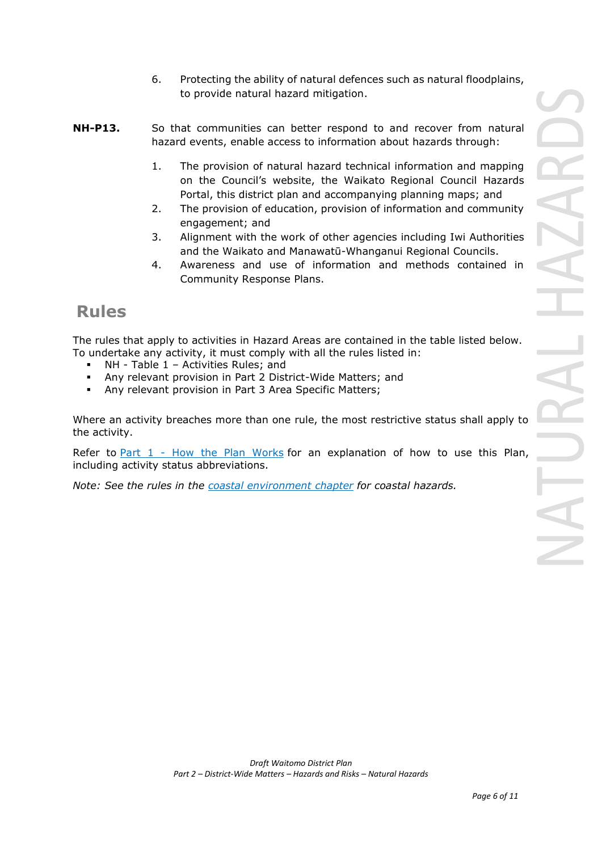- 6. Protecting the ability of natural defences such as natural floodplains, to provide natural hazard mitigation.
- **NH-P13.** So that communities can better respond to and recover from natural hazard events, enable access to information about hazards through:
	- 1. The provision of natural hazard technical information and mapping on the Council's website, the Waikato Regional Council Hazards Portal, this district plan and accompanying planning maps; and
	- 2. The provision of education, provision of information and community engagement; and
	- 3. Alignment with the work of other agencies including Iwi Authorities and the Waikato and Manawatū-Whanganui Regional Councils.
	- 4. Awareness and use of information and methods contained in Community Response Plans.

# **Rules**

The rules that apply to activities in Hazard Areas are contained in the table listed below. To undertake any activity, it must comply with all the rules listed in:

- NH Table 1 Activities Rules; and
- Any relevant provision in Part 2 District-Wide Matters; and
- Any relevant provision in Part 3 Area Specific Matters;

Where an activity breaches more than one rule, the most restrictive status shall apply to the activity.

Refer to [Part 1](javascript:void(0)) - How the Plan Works for an explanation of how to use this Plan, including activity status abbreviations.

*Note: See the rules in the coastal environment chapter for coastal hazards.*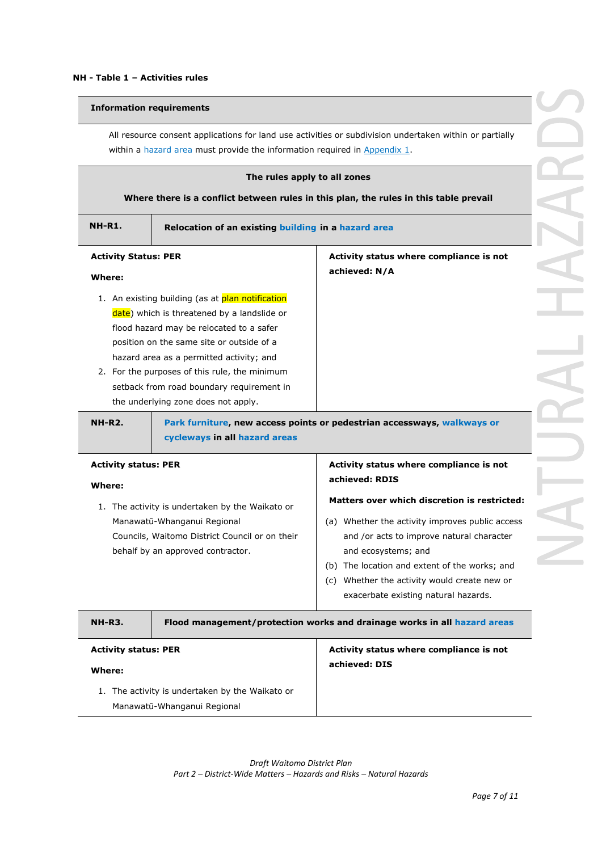### **Information requirements**

All resource consent applications for land use activities or subdivision undertaken within or partially within a hazard area must provide the information required in Appendix 1.

| The rules apply to all zones<br>Where there is a conflict between rules in this plan, the rules in this table prevail                                                 |                                                                                                                                                                                                                                                                                                                                                                           |                                                                                                                                                                                                                                                                                                                     |  |
|-----------------------------------------------------------------------------------------------------------------------------------------------------------------------|---------------------------------------------------------------------------------------------------------------------------------------------------------------------------------------------------------------------------------------------------------------------------------------------------------------------------------------------------------------------------|---------------------------------------------------------------------------------------------------------------------------------------------------------------------------------------------------------------------------------------------------------------------------------------------------------------------|--|
| <b>NH-R1.</b>                                                                                                                                                         | Relocation of an existing building in a hazard area                                                                                                                                                                                                                                                                                                                       |                                                                                                                                                                                                                                                                                                                     |  |
| <b>Activity Status: PER</b><br>Where:                                                                                                                                 |                                                                                                                                                                                                                                                                                                                                                                           | Activity status where compliance is not<br>achieved: N/A                                                                                                                                                                                                                                                            |  |
|                                                                                                                                                                       | 1. An existing building (as at plan notification<br>date) which is threatened by a landslide or<br>flood hazard may be relocated to a safer<br>position on the same site or outside of a<br>hazard area as a permitted activity; and<br>2. For the purposes of this rule, the minimum<br>setback from road boundary requirement in<br>the underlying zone does not apply. |                                                                                                                                                                                                                                                                                                                     |  |
| <b>NH-R2.</b>                                                                                                                                                         | cycleways in all hazard areas                                                                                                                                                                                                                                                                                                                                             | Park furniture, new access points or pedestrian accessways, walkways or                                                                                                                                                                                                                                             |  |
| <b>Activity status: PER</b><br>Where:                                                                                                                                 |                                                                                                                                                                                                                                                                                                                                                                           | Activity status where compliance is not<br>achieved: RDIS                                                                                                                                                                                                                                                           |  |
| 1. The activity is undertaken by the Waikato or<br>Manawatū-Whanganui Regional<br>Councils, Waitomo District Council or on their<br>behalf by an approved contractor. |                                                                                                                                                                                                                                                                                                                                                                           | <b>Matters over which discretion is restricted:</b><br>(a) Whether the activity improves public access<br>and /or acts to improve natural character<br>and ecosystems; and<br>(b) The location and extent of the works; and<br>(c) Whether the activity would create new or<br>exacerbate existing natural hazards. |  |
| <b>NH-R3.</b>                                                                                                                                                         |                                                                                                                                                                                                                                                                                                                                                                           | Flood management/protection works and drainage works in all hazard areas                                                                                                                                                                                                                                            |  |
| <b>Activity status: PER</b><br>Where:                                                                                                                                 | 1. The activity is undertaken by the Waikato or                                                                                                                                                                                                                                                                                                                           | Activity status where compliance is not<br>achieved: DIS                                                                                                                                                                                                                                                            |  |
|                                                                                                                                                                       | Manawatū-Whanganui Regional                                                                                                                                                                                                                                                                                                                                               |                                                                                                                                                                                                                                                                                                                     |  |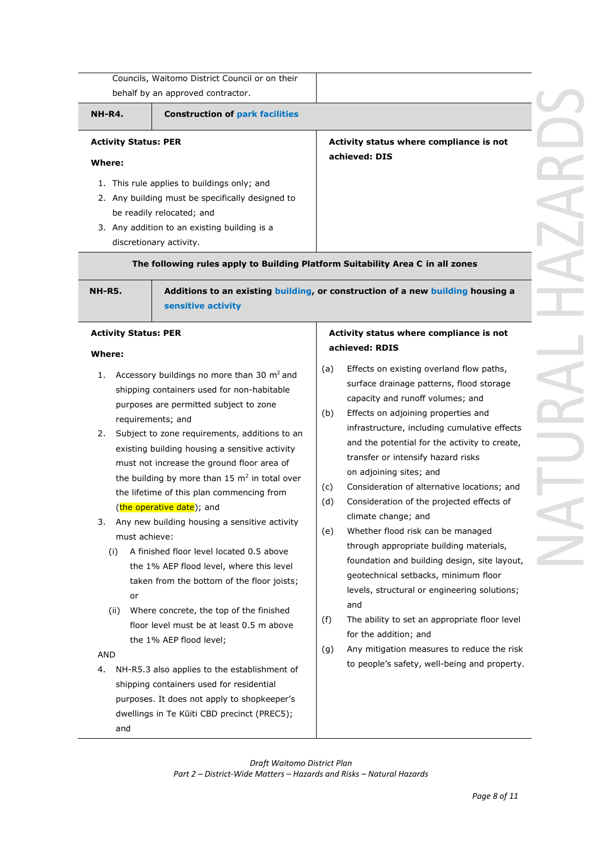|                                       | behalf by an approved contractor.                                                                                                                                                                                                  |            |                                                                                                                                                                                                                                                                  |
|---------------------------------------|------------------------------------------------------------------------------------------------------------------------------------------------------------------------------------------------------------------------------------|------------|------------------------------------------------------------------------------------------------------------------------------------------------------------------------------------------------------------------------------------------------------------------|
| <b>NH-R4.</b>                         | <b>Construction of park facilities</b>                                                                                                                                                                                             |            |                                                                                                                                                                                                                                                                  |
| <b>Activity Status: PER</b><br>Where: |                                                                                                                                                                                                                                    |            | Activity status where compliance is not<br>achieved: DIS                                                                                                                                                                                                         |
|                                       | 1. This rule applies to buildings only; and<br>2. Any building must be specifically designed to<br>be readily relocated; and<br>3. Any addition to an existing building is a<br>discretionary activity.                            |            |                                                                                                                                                                                                                                                                  |
|                                       | The following rules apply to Building Platform Suitability Area C in all zones                                                                                                                                                     |            |                                                                                                                                                                                                                                                                  |
| <b>NH-R5.</b>                         | sensitive activity                                                                                                                                                                                                                 |            | Additions to an existing building, or construction of a new building housing a                                                                                                                                                                                   |
| <b>Activity Status: PER</b><br>Where: |                                                                                                                                                                                                                                    |            | Activity status where compliance is not<br>achieved: RDIS                                                                                                                                                                                                        |
| 1.<br>2.                              | Accessory buildings no more than 30 m <sup>2</sup> and<br>shipping containers used for non-habitable<br>purposes are permitted subject to zone<br>requirements; and<br>Subject to zone requirements, additions to an               | (a)<br>(b) | Effects on existing overland flow paths,<br>surface drainage patterns, flood storage<br>capacity and runoff volumes; and<br>Effects on adjoining properties and<br>infrastructure, including cumulative effects<br>and the potential for the activity to create, |
|                                       | existing building housing a sensitive activity<br>must not increase the ground floor area of<br>the building by more than $15 \text{ m}^2$ in total over<br>the lifetime of this plan commencing from<br>(the operative date); and | (c)<br>(d) | transfer or intensify hazard risks<br>on adjoining sites; and<br>Consideration of alternative locations; and<br>Consideration of the projected effects of<br>climate change; and                                                                                 |

4. NH-R5.3 also applies to the establishment of shipping containers used for residential purposes. It does not apply to shopkeeper's dwellings in Te Kūiti CBD precinct (PREC5); and

#### *Draft Waitomo District Plan Part 2 – District-Wide Matters – Hazards and Risks – Natural Hazards*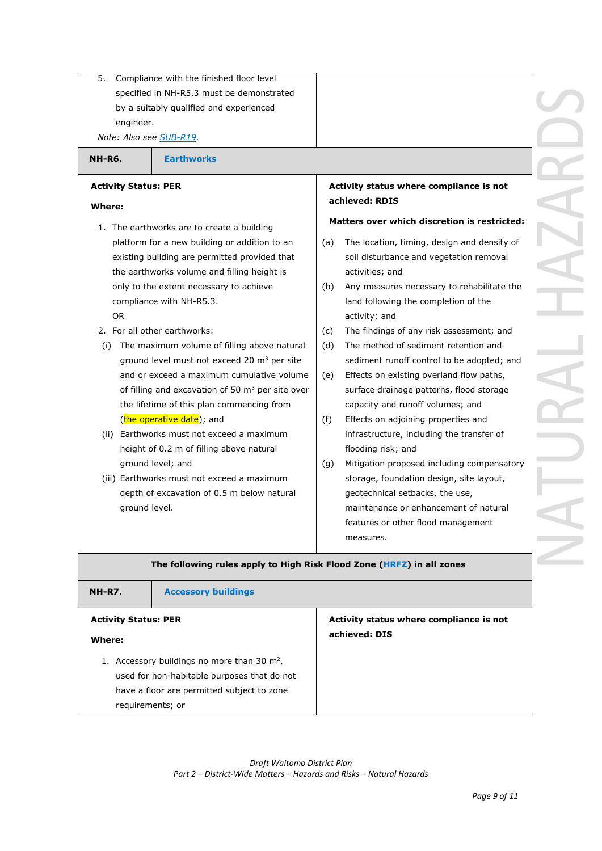5. Compliance with the finished floor level specified in NH-R5.3 must be demonstrated by a suitably qualified and experienced engineer.

*Note: Also see SUB-R19.*

**NH-R6. Earthworks**

## **Activity Status: PER**

## **Where:**

- 1. The earthworks are to create a building platform for a new building or addition to an existing building are permitted provided that the earthworks volume and filling height is only to the extent necessary to achieve compliance with NH-R5.3. OR
- 2. For all other earthworks:
- (i) The maximum volume of filling above natural ground level must not exceed 20 m<sup>3</sup> per site and or exceed a maximum cumulative volume of filling and excavation of 50  $\text{m}^3$  per site over the lifetime of this plan commencing from (the operative date); and
- (ii) Earthworks must not exceed a maximum height of 0.2 m of filling above natural ground level; and
- (iii) Earthworks must not exceed a maximum depth of excavation of 0.5 m below natural ground level.

# **Activity status where compliance is not achieved: RDIS**

# **Matters over which discretion is restricted:**

- (a) The location, timing, design and density of soil disturbance and vegetation removal activities; and
- (b) Any measures necessary to rehabilitate the land following the completion of the activity; and
- (c) The findings of any risk assessment; and
- (d) The method of sediment retention and sediment runoff control to be adopted; and
- (e) Effects on existing overland flow paths, surface drainage patterns, flood storage capacity and runoff volumes; and
- (f) Effects on adjoining properties and infrastructure, including the transfer of flooding risk; and
- (g) Mitigation proposed including compensatory storage, foundation design, site layout, geotechnical setbacks, the use, maintenance or enhancement of natural features or other flood management measures.

# **The following rules apply to High Risk Flood Zone (HRFZ) in all zones**

# **NH-R7. Accessory buildings**

#### **Activity Status: PER**

#### **Where:**

1. Accessory buildings no more than 30  $m<sup>2</sup>$ , used for non-habitable purposes that do not have a floor are permitted subject to zone requirements; or

**Activity status where compliance is not achieved: DIS**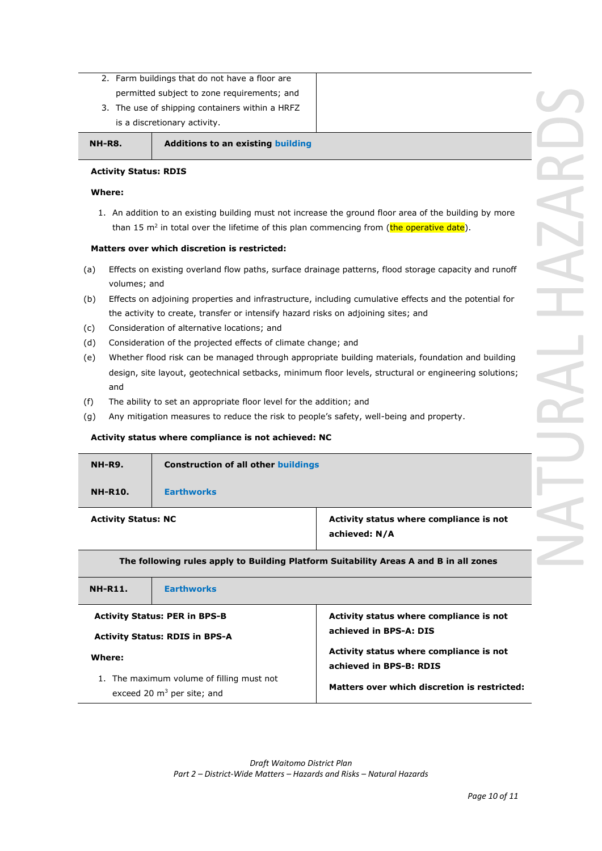2. Farm buildings that do not have a floor are permitted subject to zone requirements; and 3. The use of shipping containers within a HRFZ

is a discretionary activity.

### **NH-R8. Additions to an existing building**

# **Activity Status: RDIS**

## **Where:**

1. An addition to an existing building must not increase the ground floor area of the building by more than 15 m<sup>2</sup> in total over the lifetime of this plan commencing from (the operative date).

# **Matters over which discretion is restricted:**

- (a) Effects on existing overland flow paths, surface drainage patterns, flood storage capacity and runoff volumes; and
- (b) Effects on adjoining properties and infrastructure, including cumulative effects and the potential for the activity to create, transfer or intensify hazard risks on adjoining sites; and
- (c) Consideration of alternative locations; and
- (d) Consideration of the projected effects of climate change; and
- (e) Whether flood risk can be managed through appropriate building materials, foundation and building design, site layout, geotechnical setbacks, minimum floor levels, structural or engineering solutions; and
- (f) The ability to set an appropriate floor level for the addition; and
- (g) Any mitigation measures to reduce the risk to people's safety, well-being and property.

# **Activity status where compliance is not achieved: NC**

|                                                                                       | <b>Construction of all other buildings</b>               |  |
|---------------------------------------------------------------------------------------|----------------------------------------------------------|--|
| <b>Earthworks</b>                                                                     |                                                          |  |
| <b>Activity Status: NC</b>                                                            | Activity status where compliance is not<br>achieved: N/A |  |
| The following rules apply to Building Platform Suitability Areas A and B in all zones |                                                          |  |
|                                                                                       |                                                          |  |

| <b>NH-R11.</b>                        | <b>Earthworks</b>                                                         |                                                                    |  |
|---------------------------------------|---------------------------------------------------------------------------|--------------------------------------------------------------------|--|
| <b>Activity Status: PER in BPS-B</b>  |                                                                           | Activity status where compliance is not                            |  |
| <b>Activity Status: RDIS in BPS-A</b> |                                                                           | achieved in BPS-A: DIS                                             |  |
| Where:                                |                                                                           | Activity status where compliance is not<br>achieved in BPS-B: RDIS |  |
|                                       | 1. The maximum volume of filling must not<br>exceed 20 $m3$ per site; and | Matters over which discretion is restricted:                       |  |